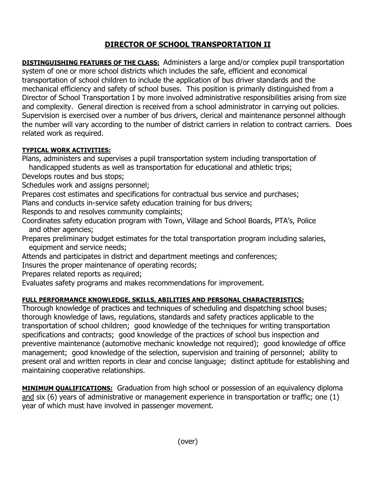## **DIRECTOR OF SCHOOL TRANSPORTATION II**

**DISTINGUISHING FEATURES OF THE CLASS:** Administers a large and/or complex pupil transportation system of one or more school districts which includes the safe, efficient and economical transportation of school children to include the application of bus driver standards and the mechanical efficiency and safety of school buses. This position is primarily distinguished from a Director of School Transportation I by more involved administrative responsibilities arising from size and complexity. General direction is received from a school administrator in carrying out policies. Supervision is exercised over a number of bus drivers, clerical and maintenance personnel although the number will vary according to the number of district carriers in relation to contract carriers. Does related work as required.

## **TYPICAL WORK ACTIVITIES:**

Plans, administers and supervises a pupil transportation system including transportation of

handicapped students as well as transportation for educational and athletic trips;

Develops routes and bus stops;

Schedules work and assigns personnel;

Prepares cost estimates and specifications for contractual bus service and purchases;

Plans and conducts in-service safety education training for bus drivers;

Responds to and resolves community complaints;

Coordinates safety education program with Town, Village and School Boards, PTA's, Police and other agencies;

Prepares preliminary budget estimates for the total transportation program including salaries, equipment and service needs;

Attends and participates in district and department meetings and conferences;

Insures the proper maintenance of operating records;

Prepares related reports as required;

Evaluates safety programs and makes recommendations for improvement.

## **FULL PERFORMANCE KNOWLEDGE, SKILLS, ABILITIES AND PERSONAL CHARACTERISTICS:**

Thorough knowledge of practices and techniques of scheduling and dispatching school buses; thorough knowledge of laws, regulations, standards and safety practices applicable to the transportation of school children; good knowledge of the techniques for writing transportation specifications and contracts; good knowledge of the practices of school bus inspection and preventive maintenance (automotive mechanic knowledge not required); good knowledge of office management; good knowledge of the selection, supervision and training of personnel; ability to present oral and written reports in clear and concise language; distinct aptitude for establishing and maintaining cooperative relationships.

**MINIMUM QUALIFICATIONS:** Graduation from high school or possession of an equivalency diploma and six (6) years of administrative or management experience in transportation or traffic; one (1) year of which must have involved in passenger movement.